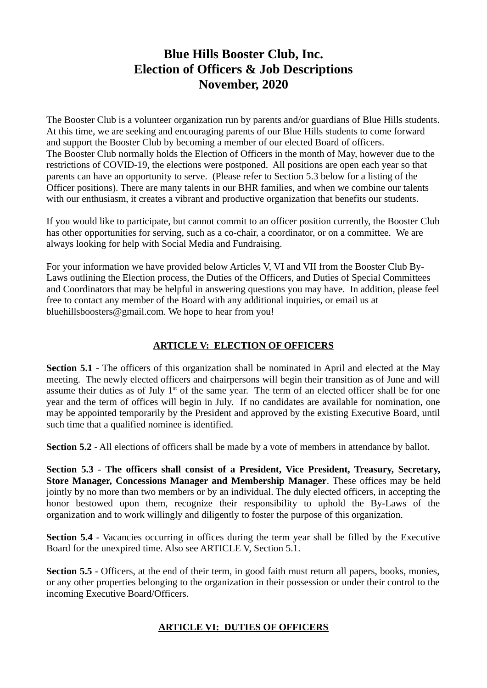# **Blue Hills Booster Club, Inc. Election of Officers & Job Descriptions November, 2020**

The Booster Club is a volunteer organization run by parents and/or guardians of Blue Hills students. At this time, we are seeking and encouraging parents of our Blue Hills students to come forward and support the Booster Club by becoming a member of our elected Board of officers. The Booster Club normally holds the Election of Officers in the month of May, however due to the restrictions of COVID-19, the elections were postponed. All positions are open each year so that parents can have an opportunity to serve. (Please refer to Section 5.3 below for a listing of the Officer positions). There are many talents in our BHR families, and when we combine our talents with our enthusiasm, it creates a vibrant and productive organization that benefits our students.

If you would like to participate, but cannot commit to an officer position currently, the Booster Club has other opportunities for serving, such as a co-chair, a coordinator, or on a committee. We are always looking for help with Social Media and Fundraising.

For your information we have provided below Articles V, VI and VII from the Booster Club By-Laws outlining the Election process, the Duties of the Officers, and Duties of Special Committees and Coordinators that may be helpful in answering questions you may have. In addition, please feel free to contact any member of the Board with any additional inquiries, or email us at bluehillsboosters@gmail.com. We hope to hear from you!

## **ARTICLE V: ELECTION OF OFFICERS**

**Section 5.1** - The officers of this organization shall be nominated in April and elected at the May meeting. The newly elected officers and chairpersons will begin their transition as of June and will assume their duties as of July  $1<sup>st</sup>$  of the same year. The term of an elected officer shall be for one year and the term of offices will begin in July. If no candidates are available for nomination, one may be appointed temporarily by the President and approved by the existing Executive Board, until such time that a qualified nominee is identified.

**Section 5.2** - All elections of officers shall be made by a vote of members in attendance by ballot.

**Section 5.3** - **The officers shall consist of a President, Vice President, Treasury, Secretary, Store Manager, Concessions Manager and Membership Manager**. These offices may be held jointly by no more than two members or by an individual. The duly elected officers, in accepting the honor bestowed upon them, recognize their responsibility to uphold the By-Laws of the organization and to work willingly and diligently to foster the purpose of this organization.

**Section 5.4** - Vacancies occurring in offices during the term year shall be filled by the Executive Board for the unexpired time. Also see ARTICLE V, Section 5.1.

**Section 5.5** - Officers, at the end of their term, in good faith must return all papers, books, monies, or any other properties belonging to the organization in their possession or under their control to the incoming Executive Board/Officers.

### **ARTICLE VI: DUTIES OF OFFICERS**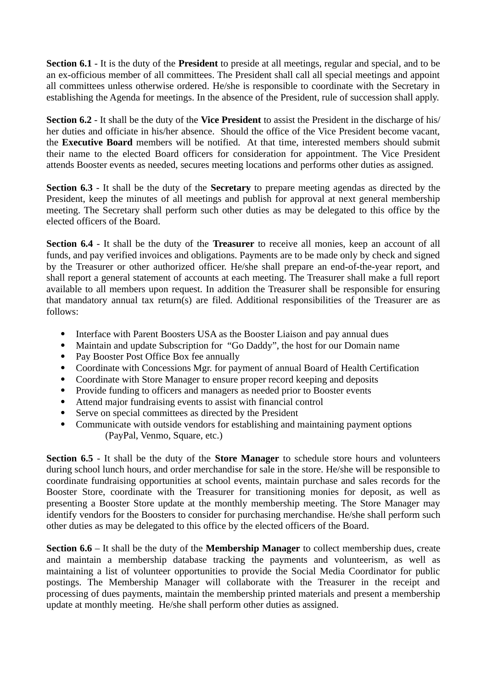**Section 6.1** - It is the duty of the **President** to preside at all meetings, regular and special, and to be an ex-officious member of all committees. The President shall call all special meetings and appoint all committees unless otherwise ordered. He/she is responsible to coordinate with the Secretary in establishing the Agenda for meetings. In the absence of the President, rule of succession shall apply.

**Section 6.2** - It shall be the duty of the **Vice President** to assist the President in the discharge of his/ her duties and officiate in his/her absence. Should the office of the Vice President become vacant, the **Executive Board** members will be notified. At that time, interested members should submit their name to the elected Board officers for consideration for appointment. The Vice President attends Booster events as needed, secures meeting locations and performs other duties as assigned.

**Section 6.3** - It shall be the duty of the **Secretary** to prepare meeting agendas as directed by the President, keep the minutes of all meetings and publish for approval at next general membership meeting. The Secretary shall perform such other duties as may be delegated to this office by the elected officers of the Board.

**Section 6.4** - It shall be the duty of the **Treasurer** to receive all monies, keep an account of all funds, and pay verified invoices and obligations. Payments are to be made only by check and signed by the Treasurer or other authorized officer. He/she shall prepare an end-of-the-year report, and shall report a general statement of accounts at each meeting. The Treasurer shall make a full report available to all members upon request. In addition the Treasurer shall be responsible for ensuring that mandatory annual tax return(s) are filed. Additional responsibilities of the Treasurer are as follows:

- Interface with Parent Boosters USA as the Booster Liaison and pay annual dues
- Maintain and update Subscription for "Go Daddy", the host for our Domain name
- Pay Booster Post Office Box fee annually
- Coordinate with Concessions Mgr. for payment of annual Board of Health Certification
- Coordinate with Store Manager to ensure proper record keeping and deposits
- Provide funding to officers and managers as needed prior to Booster events
- Attend major fundraising events to assist with financial control
- Serve on special committees as directed by the President
- Communicate with outside vendors for establishing and maintaining payment options (PayPal, Venmo, Square, etc.)

**Section 6.5** - It shall be the duty of the **Store Manager** to schedule store hours and volunteers during school lunch hours, and order merchandise for sale in the store. He/she will be responsible to coordinate fundraising opportunities at school events, maintain purchase and sales records for the Booster Store, coordinate with the Treasurer for transitioning monies for deposit, as well as presenting a Booster Store update at the monthly membership meeting. The Store Manager may identify vendors for the Boosters to consider for purchasing merchandise. He/she shall perform such other duties as may be delegated to this office by the elected officers of the Board.

**Section 6.6** – It shall be the duty of the **Membership Manager** to collect membership dues, create and maintain a membership database tracking the payments and volunteerism, as well as maintaining a list of volunteer opportunities to provide the Social Media Coordinator for public postings. The Membership Manager will collaborate with the Treasurer in the receipt and processing of dues payments, maintain the membership printed materials and present a membership update at monthly meeting. He/she shall perform other duties as assigned.